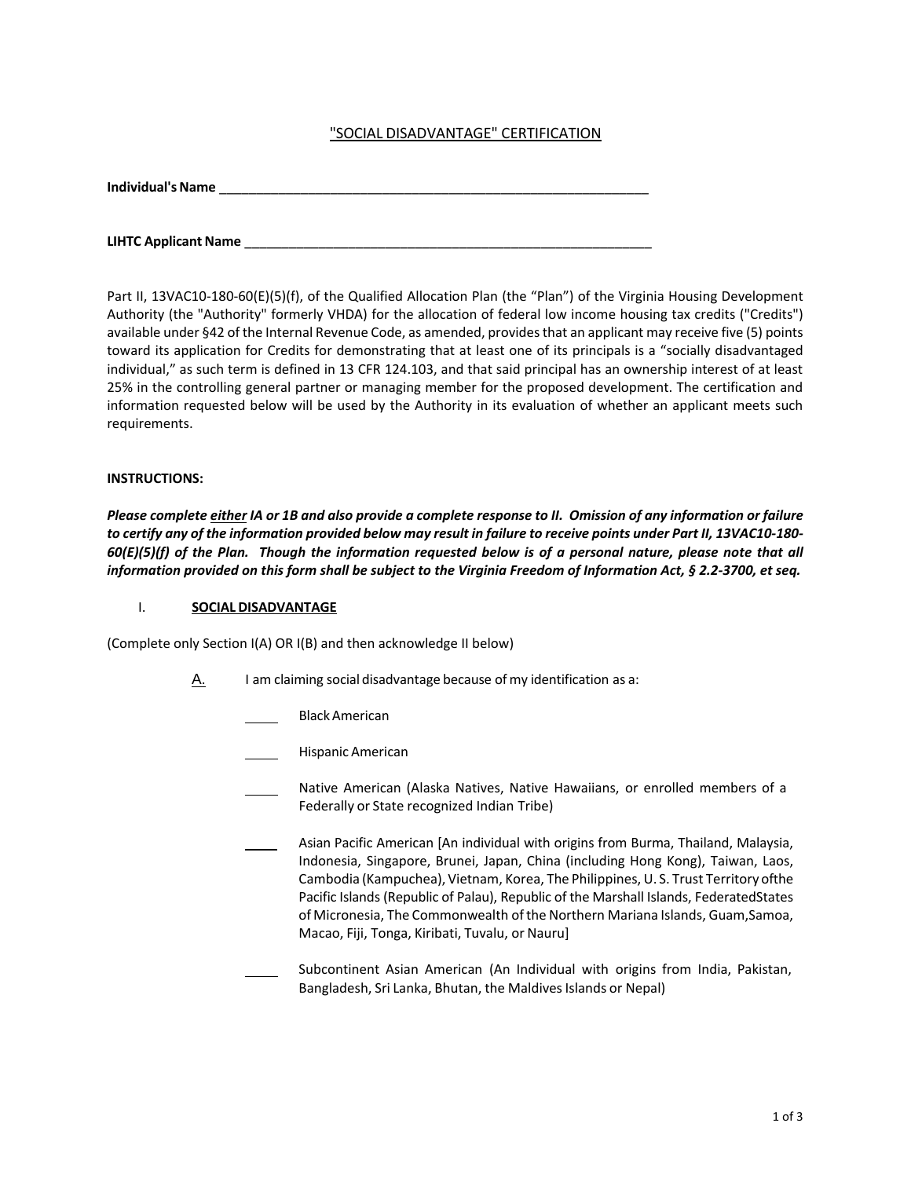# "SOCIAL DISADVANTAGE" CERTIFICATION

| <b>Individual's Name</b> |  |  |  |
|--------------------------|--|--|--|
|                          |  |  |  |
|                          |  |  |  |

**LIHTC Applicant Name** \_\_\_\_\_\_\_\_\_\_\_\_\_\_\_\_\_\_\_\_\_\_\_\_\_\_\_\_\_\_\_\_\_\_\_\_\_\_\_\_\_\_\_\_\_\_\_\_\_\_\_\_\_\_\_

Part II, 13VAC10-180-60(E)(5)(f), of the Qualified Allocation Plan (the "Plan") of the Virginia Housing Development Authority (the "Authority" formerly VHDA) for the allocation of federal low income housing tax credits ("Credits") available under §42 of the Internal Revenue Code, as amended, provides that an applicant may receive five (5) points toward its application for Credits for demonstrating that at least one of its principals is a "socially disadvantaged individual," as such term is defined in 13 CFR 124.103, and that said principal has an ownership interest of at least 25% in the controlling general partner or managing member for the proposed development. The certification and information requested below will be used by the Authority in its evaluation of whether an applicant meets such requirements.

### **INSTRUCTIONS:**

*Please complete either IA or 1B and also provide a complete response to II. Omission of any information or failure to certify any of the information provided below may result in failure to receive points under Part II, 13VAC10-180- 60(E)(5)(f) of the Plan. Though the information requested below is of a personal nature, please note that all information provided on this form shall be subject to the Virginia Freedom of Information Act, § 2.2-3700, et seq.*

#### I. **SOCIAL DISADVANTAGE**

(Complete only Section I(A) OR I(B) and then acknowledge II below)

- $\underline{A}$ . I am claiming social disadvantage because of my identification as a:
	- Black American
	- Hispanic American
	- Native American (Alaska Natives, Native Hawaiians, or enrolled members of a Federally or State recognized Indian Tribe)
		- Asian Pacific American [An individual with origins from Burma, Thailand, Malaysia, Indonesia, Singapore, Brunei, Japan, China (including Hong Kong), Taiwan, Laos, Cambodia (Kampuchea), Vietnam, Korea, The Philippines, U. S. Trust Territory ofthe Pacific Islands (Republic of Palau), Republic of the Marshall Islands, FederatedStates of Micronesia, The Commonwealth ofthe Northern Mariana Islands, Guam,Samoa, Macao, Fiji, Tonga, Kiribati, Tuvalu, or Nauru]
		- Subcontinent Asian American (An Individual with origins from India, Pakistan, Bangladesh, Sri Lanka, Bhutan, the Maldives Islands or Nepal)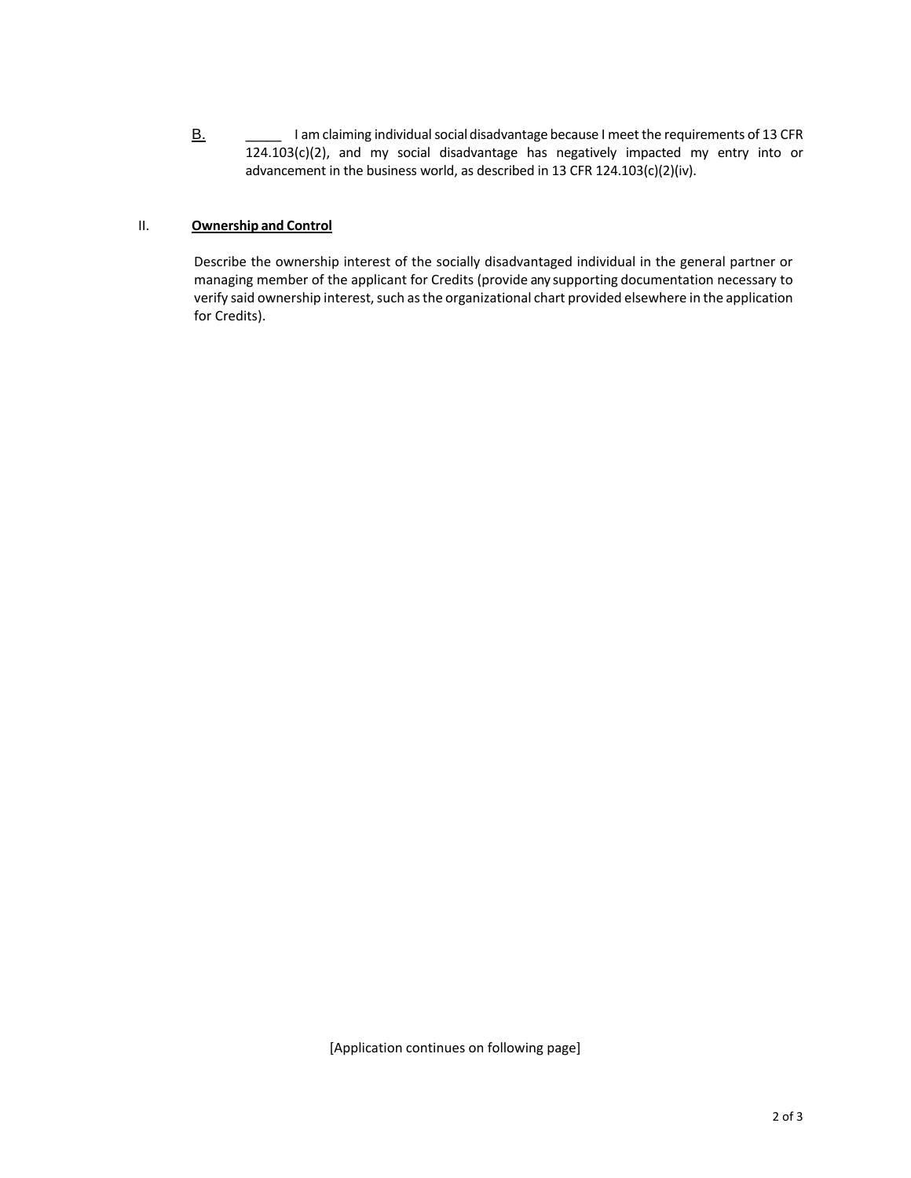B. **B.** I am claiming individual social disadvantage because I meet the requirements of 13 CFR  $124.103(c)(2)$ , and my social disadvantage has negatively impacted my entry into or advancement in the business world, as described in 13 CFR 124.103(c)(2)(iv).

### II. **Ownership and Control**

Describe the ownership interest of the socially disadvantaged individual in the general partner or managing member of the applicant for Credits (provide any supporting documentation necessary to verify said ownership interest, such as the organizational chart provided elsewhere in the application for Credits).